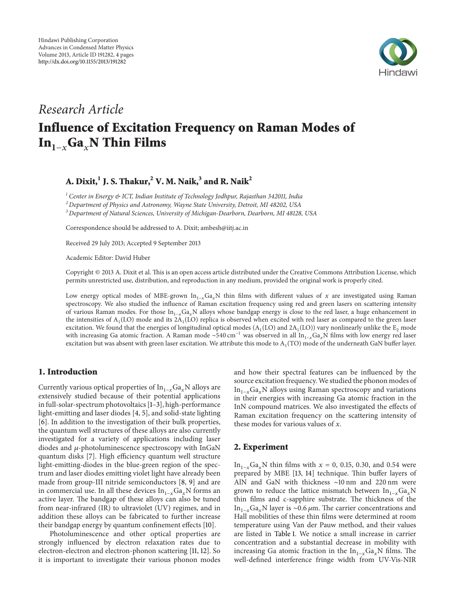

# Research Article Influence of Excitation Frequency on Raman Modes of In<sub>1−x</sub>Ga<sub>x</sub>N Thin Films

# A. Dixit, $^1$  J. S. Thakur, $^2$  V. M. Naik, $^3$  and R. Naik $^2$

 $1$  Center in Energy & ICT, Indian Institute of Technology Jodhpur, Rajasthan 342011, India

 $^{2}$  Department of Physics and Astronomy, Wayne State University, Detroit, MI 48202, USA

<sup>3</sup> Department of Natural Sciences, University of Michigan-Dearborn, Dearborn, MI 48128, USA

Correspondence should be addressed to A. Dixit; ambesh@iitj.ac.in

Received 29 July 2013; Accepted 9 September 2013

Academic Editor: David Huber

Copyright © 2013 A. Dixit et al. This is an open access article distributed under the Creative Commons Attribution License, which permits unrestricted use, distribution, and reproduction in any medium, provided the original work is properly cited.

Low energy optical modes of MBE-grown  $In_{1-x}Ga_xN$  thin films with different values of x are investigated using Raman spectroscopy. We also studied the influence of Raman excitation frequency using red and green lasers on scattering intensity of various Raman modes. For those In<sub>1-x</sub>Ga<sub>x</sub>N alloys whose bandgap energy is close to the red laser, a huge enhancement in the intensities of  $A_1(LO)$  mode and its 2 $A_1(LO)$  replica is observed when excited with red laser as compared to the green laser excitation. We found that the energies of longitudinal optical modes ( $A_1(LO)$  and  $2A_1(LO)$ ) vary nonlinearly unlike the  $E_2$  mode with increasing Ga atomic fraction. A Raman mode ∼540 cm<sup>-1</sup> was observed in all In<sub>1-x</sub>Ga<sub>x</sub>N films with low energy red laser excitation but was absent with green laser excitation. We attribute this mode to  $A_1(TO)$  mode of the underneath GaN buffer layer.

# 1. Introduction

Currently various optical properties of  $In_{1-x}Ga_xN$  alloys are extensively studied because of their potential applications in full-solar-spectrum photovoltaics [1–3], high-performance light-emitting and laser diodes [4, 5], and solid-state lighting [6]. In addition to the investigation of their bulk properties, the quantum well structures of these alloys are also currently investigated for a variety of applications including laser diodes and  $\mu$ -photoluminescence spectroscopy with InGaN quantum disks [7]. High efficiency quantum well structure light-emitting-diodes in the blue-green region of the spectrum and laser diodes emitting violet light have already been made from group-III nitride semiconductors [8, 9] and are in commercial use. In all these devices  $In_{1-x}Ga_xN$  forms an active layer. The bandgap of these alloys can also be tuned from near-infrared (IR) to ultraviolet (UV) regimes, and in addition these alloys can be fabricated to further increase their bandgap energy by quantum confinement effects [10].

Photoluminescence and other optical properties are strongly influenced by electron relaxation rates due to electron-electron and electron-phonon scattering [11, 12]. So it is important to investigate their various phonon modes

and how their spectral features can be influenced by the source excitation frequency. We studied the phonon modes of  $In<sub>1-r</sub>Ga<sub>r</sub>N$  alloys using Raman spectroscopy and variations in their energies with increasing Ga atomic fraction in the InN compound matrices. We also investigated the effects of Raman excitation frequency on the scattering intensity of these modes for various values of  $x$ .

#### 2. Experiment

In<sub>1−x</sub>Ga<sub>x</sub>N thin films with  $x = 0$ , 0.15, 0.30, and 0.54 were prepared by MBE [13, 14] technique. Thin buffer layers of AlN and GaN with thickness ∼10 nm and 220 nm were grown to reduce the lattice mismatch between  $In_{1-x}Ga_xN$ thin films and c-sapphire substrate. The thickness of the In<sub>1−x</sub>Ga<sub>x</sub>N layer is ~0.6  $\mu$ m. The carrier concentrations and Hall mobilities of these thin films were determined at room temperature using Van der Pauw method, and their values are listed in Table 1. We notice a small increase in carrier concentration and a substantial decrease in mobility with increasing Ga atomic fraction in the  $In_{1-x}Ga_xN$  films. The well-defined interference fringe width from UV-Vis-NIR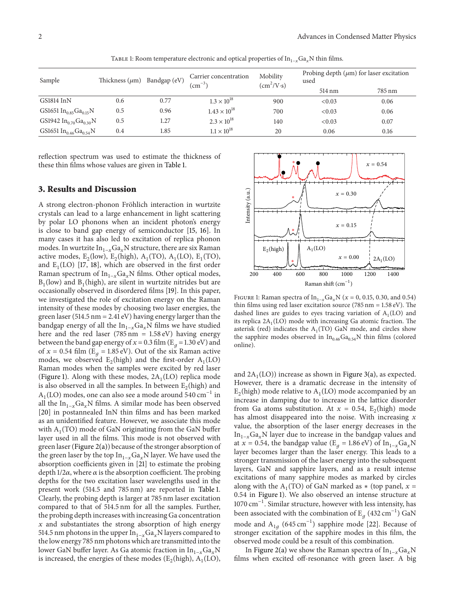| Sample                                         | Thickness $(\mu m)$ | Bandgap (eV) | Carrier concentration<br>$\rm (cm^{-3})$ | Mobility<br>$(cm^2/V·s)$ | Probing depth $(\mu m)$ for laser excitation<br>used |        |
|------------------------------------------------|---------------------|--------------|------------------------------------------|--------------------------|------------------------------------------------------|--------|
|                                                |                     |              |                                          |                          | 514 nm                                               | 785 nm |
| GS1814 InN                                     | 0.6                 | 0.77         | $1.3 \times 10^{18}$                     | 900                      | < 0.03                                               | 0.06   |
| GS1651 $In_{0.85}Ga_{0.15}N$                   | 0.5                 | 0.96         | $1.43 \times 10^{18}$                    | 700                      | < 0.03                                               | 0.06   |
| GS1942 $In_{0.70}Ga_{0.30}N$                   | 0.5                 | 1.27         | $2.3 \times 10^{18}$                     | 140                      | < 0.03                                               | 0.07   |
| GS1651 In <sub>0.46</sub> Ga <sub>0.54</sub> N | 0.4                 | 1.85         | $1.1 \times 10^{18}$                     | 20                       | 0.06                                                 | 0.16   |

TABLE 1: Room temperature electronic and optical properties of  $In<sub>1-x</sub>Ga<sub>x</sub>N$  thin films.

reflection spectrum was used to estimate the thickness of these thin films whose values are given in Table 1.

#### 3. Results and Discussion

A strong electron-phonon Fröhlich interaction in wurtzite crystals can lead to a large enhancement in light scattering by polar LO phonons when an incident photon's energy is close to band gap energy of semiconductor [15, 16]. In many cases it has also led to excitation of replica phonon modes. In wurtzite In<sub>1−x</sub>Ga<sub>x</sub>N structure, there are six Raman active modes,  $E_2$ (low),  $E_2$ (high),  $A_1$ (TO),  $A_1$ (LO),  $E_1$ (TO), and  $E_1$ (LO) [17, 18], which are observed in the first order Raman spectrum of  $In<sub>1-x</sub>Ga<sub>x</sub>N$  films. Other optical modes,  $B_1$ (low) and  $B_1$ (high), are silent in wurtzite nitrides but are occasionally observed in disordered films [19]. In this paper, we investigated the role of excitation energy on the Raman intensity of these modes by choosing two laser energies, the green laser (514.5 nm = 2.41 eV) having energy larger than the bandgap energy of all the  $In_{1-x}Ga_xN$  films we have studied here and the red laser (785 nm =  $1.58 \text{ eV}$ ) having energy between the band gap energy of  $x = 0.3$  film (E<sub>a</sub> = 1.30 eV) and of  $x = 0.54$  film (E<sub>q</sub> = 1.85 eV). Out of the six Raman active modes, we observed  $E_2$ (high) and the first-order  $A_1$ (LO) Raman modes when the samples were excited by red laser (Figure 1). Along with these modes,  $2A_1(LO)$  replica mode is also observed in all the samples. In between  $E_2$ (high) and  $A<sub>1</sub>(LO)$  modes, one can also see a mode around 540 cm<sup>-1</sup> in all the In<sub>1−x</sub>Ga<sub>x</sub>N films. A similar mode has been observed [20] in postannealed InN thin films and has been marked as an unidentified feature. However, we associate this mode with  $A_1(TO)$  mode of GaN originating from the GaN buffer layer used in all the films. This mode is not observed with green laser (Figure 2(a)) because of the stronger absorption of the green laser by the top  $In<sub>1-x</sub>Ga<sub>x</sub>N$  layer. We have used the absorption coefficients given in [21] to estimate the probing depth  $1/2\alpha$ , where  $\alpha$  is the absorption coefficient. The probing depths for the two excitation laser wavelengths used in the present work (514.5 and 785 nm) are reported in Table 1. Clearly, the probing depth is larger at 785 nm laser excitation compared to that of 514.5 nm for all the samples. Further, the probing depth increases with increasing Ga concentration  $x$  and substantiates the strong absorption of high energy 514.5 nm photons in the upper  $In<sub>1-x</sub>Ga<sub>x</sub>N$  layers compared to the low energy 785 nm photons which are transmitted into the lower GaN buffer layer. As Ga atomic fraction in  $In_{1-x}Ga_xN$ is increased, the energies of these modes ( $E_2$ (high),  $A_1$ (LO),



FIGURE 1: Raman spectra of  $\text{In}_{1-x} \text{Ga}_x \text{N}$  ( $x = 0, 0.15, 0.30,$  and 0.54) thin films using red laser excitation source (785 nm = 1.58 eV). The dashed lines are guides to eyes tracing variation of  $A_1(LO)$  and its replica  $2A_1(LO)$  mode with increasing Ga atomic fraction. The asterisk (red) indicates the  $A_1(TO)$  GaN mode, and circles show the sapphire modes observed in  $In_{0.46}Ga_{0.54}N$  thin films (colored online).

and  $2A_1(LO)$ ) increase as shown in Figure 3(a), as expected. However, there is a dramatic decrease in the intensity of  $E_2$ (high) mode relative to  $A_1$ (LO) mode accompanied by an increase in damping due to increase in the lattice disorder from Ga atoms substitution. At  $x = 0.54$ ,  $E_2$ (high) mode has almost disappeared into the noise. With increasing  $x$ value, the absorption of the laser energy decreases in the  $In<sub>1-x</sub>Ga<sub>x</sub>N$  layer due to increase in the bandgap values and at  $x = 0.54$ , the bandgap value (E<sub>q</sub> = 1.86 eV) of In<sub>1-x</sub>Ga<sub>x</sub>N layer becomes larger than the laser energy. This leads to a stronger transmission of the laser energy into the subsequent layers, GaN and sapphire layers, and as a result intense excitations of many sapphire modes as marked by circles along with the  $A_1(TO)$  of GaN marked as  $*$  (top panel,  $x =$ 0.54 in Figure 1). We also observed an intense structure at 1070 cm−1. Similar structure, however with less intensity, has been associated with the combination of  $\text{E}_g$  (432 cm $^{-1}$ ) GaN mode and A<sub>1*a*</sub> (645 cm<sup>-1</sup>) sapphire mode [22]. Because of stronger excitation of the sapphire modes in this film, the observed mode could be a result of this combination.

In Figure 2(a) we show the Raman spectra of  $In_{1-x}Ga_xN$ films when excited off-resonance with green laser. A big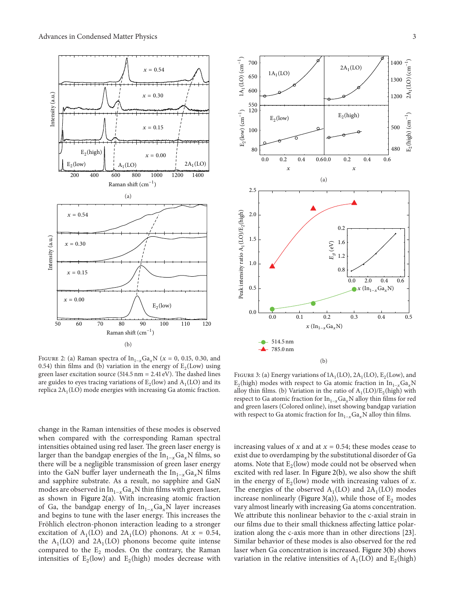



FIGURE 2: (a) Raman spectra of  $\text{In}_{1-x} \text{Ga}_x \text{N}$  ( $x = 0, 0.15, 0.30,$  and 0.54) thin films and (b) variation in the energy of  $E_2(Low)$  using green laser excitation source (514.5 nm =  $2.41 \text{ eV}$ ). The dashed lines are guides to eyes tracing variations of  $E_2$ (low) and  $A_1$ (LO) and its replica  $2A_1(LO)$  mode energies with increasing Ga atomic fraction.

FIGURE 3: (a) Energy variations of  $1A_1(LO)$ ,  $2A_1(LO)$ ,  $E_2(Low)$ , and  $E_2$ (high) modes with respect to Ga atomic fraction in  $In_{1-x}Ga_xN$ alloy thin films. (b) Variation in the ratio of  $A_1(LO)/E_2(high)$  with respect to Ga atomic fraction for  $In<sub>1-x</sub>Ga<sub>x</sub>N$  alloy thin films for red and green lasers (Colored online), inset showing bandgap variation with respect to Ga atomic fraction for  $In_{1-x}Ga_xN$  alloy thin films.

change in the Raman intensities of these modes is observed when compared with the corresponding Raman spectral intensities obtained using red laser. The green laser energy is larger than the bandgap energies of the  $In_{1-x}Ga_xN$  films, so there will be a negligible transmission of green laser energy into the GaN buffer layer underneath the  $In_{1-x}Ga_xN$  films and sapphire substrate. As a result, no sapphire and GaN modes are observed in  $In_{1-x}Ga_xN$  thin films with green laser, as shown in Figure 2(a). With increasing atomic fraction of Ga, the bandgap energy of  $In<sub>1-x</sub>Ga<sub>x</sub>N$  layer increases and begins to tune with the laser energy. This increases the Fröhlich electron-phonon interaction leading to a stronger excitation of  $A_1(LO)$  and  $2A_1(LO)$  phonons. At  $x = 0.54$ , the  $A_1$ (LO) and 2 $A_1$ (LO) phonons become quite intense compared to the  $E_2$  modes. On the contrary, the Raman intensities of  $E_2$ (low) and  $E_2$ (high) modes decrease with

increasing values of  $x$  and at  $x = 0.54$ ; these modes cease to exist due to overdamping by the substitutional disorder of Ga atoms. Note that  $E_2$ (low) mode could not be observed when excited with red laser. In Figure 2(b), we also show the shift in the energy of  $E_2$ (low) mode with increasing values of x. The energies of the observed  $A_1(LO)$  and  $2A_1(LO)$  modes increase nonlinearly (Figure 3(a)), while those of  $E_2$  modes vary almost linearly with increasing Ga atoms concentration. We attribute this nonlinear behavior to the c-axial strain in our films due to their small thickness affecting lattice polarization along the c-axis more than in other directions [23]. Similar behavior of these modes is also observed for the red laser when Ga concentration is increased. Figure 3(b) shows variation in the relative intensities of  $A_1(LO)$  and  $E_2(high)$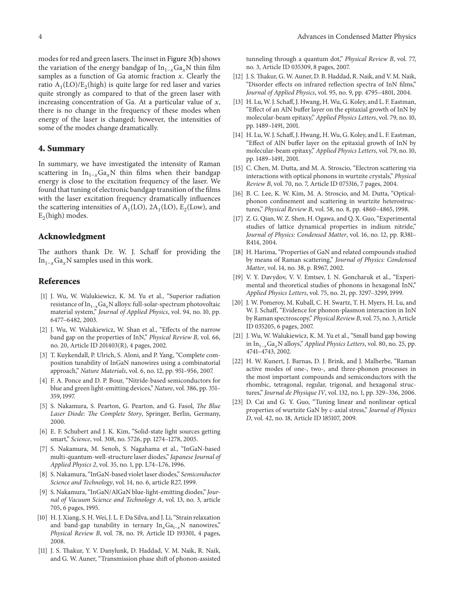modes for red and green lasers. The inset in Figure 3(b) shows the variation of the energy bandgap of  $In_{1-x}Ga_xN$  thin film samples as a function of Ga atomic fraction  $x$ . Clearly the ratio  $A_1(LO)/E_2$ (high) is quite large for red laser and varies quite strongly as compared to that of the green laser with increasing concentration of Ga. At a particular value of  $x$ , there is no change in the frequency of these modes when energy of the laser is changed; however, the intensities of some of the modes change dramatically.

## 4. Summary

In summary, we have investigated the intensity of Raman scattering in  $In_{1-x}Ga_xN$  thin films when their bandgap energy is close to the excitation frequency of the laser. We found that tuning of electronic bandgap transition of the films with the laser excitation frequency dramatically influences the scattering intensities of  $A_1(LO)$ ,  $2A_1(LO)$ ,  $E_2(Low)$ , and  $E_2$ (high) modes.

## Acknowledgment

The authors thank Dr. W. J. Schaff for providing the In<sub>1−x</sub>Ga<sub>x</sub>N samples used in this work.

# References

- [1] J. Wu, W. Walukiewicz, K. M. Yu et al., "Superior radiation resistance of  $In<sub>1-x</sub>Ga<sub>x</sub>N$  alloys: full-solar-spectrum photovoltaic material system," Journal of Applied Physics, vol. 94, no. 10, pp. 6477–6482, 2003.
- [2] J. Wu, W. Walukiewicz, W. Shan et al., "Effects of the narrow band gap on the properties of InN," Physical Review B, vol. 66, no. 20, Article ID 201403(R), 4 pages, 2002.
- [3] T. Kuykendall, P. Ulrich, S. Aloni, and P. Yang, "Complete composition tunability of InGaN nanowires using a combinatorial approach," Nature Materials, vol. 6, no. 12, pp. 951–956, 2007.
- [4] F. A. Ponce and D. P. Bour, "Nitride-based semiconductors for blue and green light-emitting devices," Nature, vol. 386, pp. 351– 359, 1997.
- [5] S. Nakamura, S. Pearton, G. Pearton, and G. Fasol, The Blue Laser Diode: The Complete Story, Springer, Berlin, Germany, 2000.
- [6] E. F. Schubert and J. K. Kim, "Solid-state light sources getting smart," Science, vol. 308, no. 5726, pp. 1274–1278, 2005.
- [7] S. Nakamura, M. Senoh, S. Nagahama et al., "InGaN-based multi-quantum-well-structure laser diodes," Japanese Journal of Applied Physics 2, vol. 35, no. 1, pp. L74–L76, 1996.
- [8] S. Nakamura, "InGaN-based violet laser diodes," Semiconductor Science and Technology, vol. 14, no. 6, article R27, 1999.
- [9] S. Nakamura, "InGaN/AlGaN blue-light-emitting diodes," Journal of Vacuum Science and Technology A, vol. 13, no. 3, article 705, 6 pages, 1995.
- [10] H. J. Xiang, S. H. Wei, J. L. F. Da Silva, and J. Li, "Strain relaxation and band-gap tunability in ternary  $In_xGa_{1-x}N$  nanowires," Physical Review B, vol. 78, no. 19, Article ID 193301, 4 pages, 2008.
- [11] J. S. Thakur, Y. V. Danylunk, D. Haddad, V. M. Naik, R. Naik, and G. W. Auner, "Transmission phase shift of phonon-assisted

tunneling through a quantum dot," Physical Review B, vol. 77, no. 3, Article ID 035309, 8 pages, 2007.

- [12] J. S. Thakur, G. W. Auner, D. B. Haddad, R. Naik, and V. M. Naik, "Disorder effects on infrared reflection spectra of InN films," Journal of Applied Physics, vol. 95, no. 9, pp. 4795–4801, 2004.
- [13] H. Lu, W. J. Schaff, J. Hwang, H. Wu, G. Koley, and L. F. Eastman, "Effect of an AlN buffer layer on the epitaxial growth of InN by molecular-beam epitaxy," Applied Physics Letters, vol. 79, no. 10, pp. 1489–1491, 2001.
- [14] H. Lu, W. J. Schaff, J. Hwang, H. Wu, G. Koley, and L. F. Eastman, "Effect of AlN buffer layer on the epitaxial growth of InN by molecular-beam epitaxy," Applied Physics Letters, vol. 79, no. 10, pp. 1489–1491, 2001.
- [15] C. Chen, M. Dutta, and M. A. Stroscio, "Electron scattering via interactions with optical phonons in wurtzite crystals," Physical Review B, vol. 70, no. 7, Article ID 075316, 7 pages, 2004.
- [16] B. C. Lee, K. W. Kim, M. A. Stroscio, and M. Dutta, "Opticalphonon confinement and scattering in wurtzite heterostructures," Physical Review B, vol. 58, no. 8, pp. 4860–4865, 1998.
- [17] Z. G. Qian, W. Z. Shen, H. Ogawa, and Q. X. Guo, "Experimental studies of lattice dynamical properties in indium nitride," Journal of Physics: Condensed Matter, vol. 16, no. 12, pp. R381– R414, 2004.
- [18] H. Harima, "Properties of GaN and related compounds studied by means of Raman scattering," Journal of Physics: Condensed Matter, vol. 14, no. 38, p. R967, 2002.
- [19] V. Y. Davydov, V. V. Emtsev, I. N. Goncharuk et al., "Experimental and theoretical studies of phonons in hexagonal InN," Applied Physics Letters, vol. 75, no. 21, pp. 3297–3299, 1999.
- [20] J. W. Pomeroy, M. Kuball, C. H. Swartz, T. H. Myers, H. Lu, and W. J. Schaff, "Evidence for phonon-plasmon interaction in InN by Raman spectroscopy," Physical Review B, vol. 75, no. 3, Article ID 035205, 6 pages, 2007.
- [21] J. Wu, W. Walukiewicz, K. M. Yu et al., "Small band gap bowing in In<sub>1−x</sub>Ga<sub>x</sub>N alloys," Applied Physics Letters, vol. 80, no. 25, pp. 4741–4743, 2002.
- [22] H. W. Kunert, J. Barnas, D. J. Brink, and J. Malherbe, "Raman active modes of one-, two-, and three-phonon processes in the most important compounds and semiconductors with the rhombic, tetragonal, regular, trigonal, and hexagonal structures," Journal de Physique IV, vol. 132, no. 1, pp. 329–336, 2006.
- [23] D. Cai and G. Y. Guo, "Tuning linear and nonlinear optical properties of wurtzite GaN by c-axial stress," Journal of Physics D, vol. 42, no. 18, Article ID 185107, 2009.